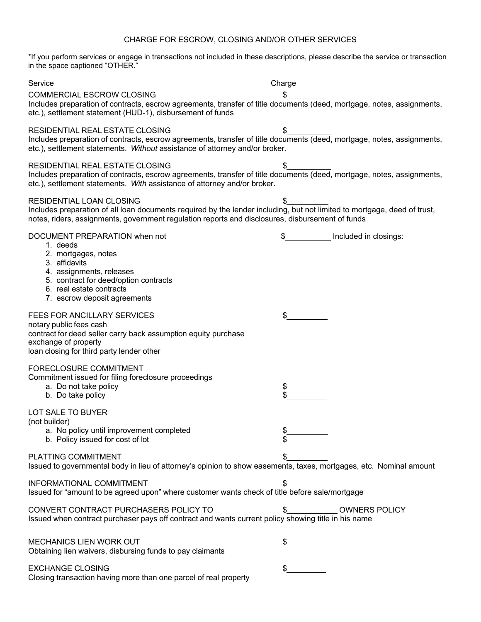## CHARGE FOR ESCROW, CLOSING AND/OR OTHER SERVICES

\*If you perform services or engage in transactions not included in these descriptions, please describe the service or transaction in the space captioned "OTHER."

| Service                                                                                                                                                                                                                                                  | Charge                     |
|----------------------------------------------------------------------------------------------------------------------------------------------------------------------------------------------------------------------------------------------------------|----------------------------|
| COMMERCIAL ESCROW CLOSING<br>Includes preparation of contracts, escrow agreements, transfer of title documents (deed, mortgage, notes, assignments,<br>etc.), settlement statement (HUD-1), disbursement of funds                                        |                            |
| RESIDENTIAL REAL ESTATE CLOSING<br>Includes preparation of contracts, escrow agreements, transfer of title documents (deed, mortgage, notes, assignments,<br>etc.), settlement statements. Without assistance of attorney and/or broker.                 | \$                         |
| RESIDENTIAL REAL ESTATE CLOSING<br>Includes preparation of contracts, escrow agreements, transfer of title documents (deed, mortgage, notes, assignments,<br>etc.), settlement statements. With assistance of attorney and/or broker.                    | \$                         |
| RESIDENTIAL LOAN CLOSING<br>Includes preparation of all loan documents required by the lender including, but not limited to mortgage, deed of trust,<br>notes, riders, assignments, government regulation reports and disclosures, disbursement of funds | \$                         |
| DOCUMENT PREPARATION when not<br>1. deeds<br>2. mortgages, notes<br>3. affidavits<br>4. assignments, releases<br>5. contract for deed/option contracts<br>6. real estate contracts<br>7. escrow deposit agreements                                       | Included in closings:      |
| <b>FEES FOR ANCILLARY SERVICES</b><br>notary public fees cash<br>contract for deed seller carry back assumption equity purchase<br>exchange of property<br>loan closing for third party lender other                                                     | \$                         |
| FORECLOSURE COMMITMENT<br>Commitment issued for filing foreclosure proceedings<br>a. Do not take policy<br>b. Do take policy                                                                                                                             |                            |
| LOT SALE TO BUYER<br>(not builder)<br>a. No policy until improvement completed<br>b. Policy issued for cost of lot                                                                                                                                       | \$                         |
| PLATTING COMMITMENT<br>Issued to governmental body in lieu of attorney's opinion to show easements, taxes, mortgages, etc. Nominal amount                                                                                                                |                            |
| INFORMATIONAL COMMITMENT<br>Issued for "amount to be agreed upon" where customer wants check of title before sale/mortgage                                                                                                                               | \$                         |
| CONVERT CONTRACT PURCHASERS POLICY TO<br>Issued when contract purchaser pays off contract and wants current policy showing title in his name                                                                                                             | <b>OWNERS POLICY</b><br>\$ |
| MECHANICS LIEN WORK OUT<br>Obtaining lien waivers, disbursing funds to pay claimants                                                                                                                                                                     | \$                         |
| <b>EXCHANGE CLOSING</b><br>Closing transaction having more than one parcel of real property                                                                                                                                                              | \$                         |